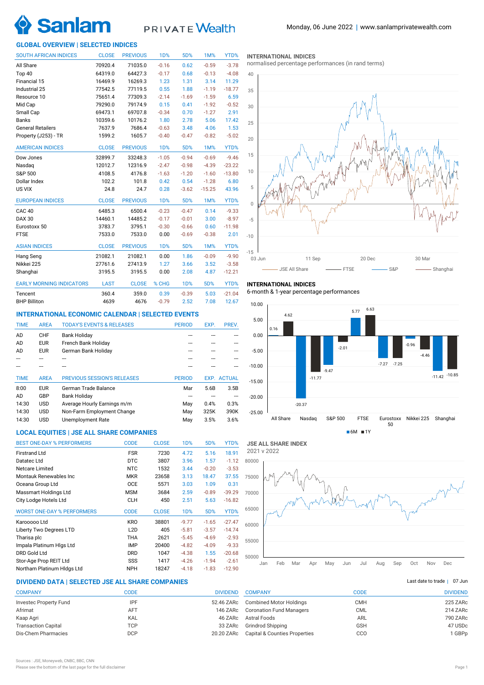

# PRIVATE Wealth

# **GLOBAL OVERVIEW | SELECTED INDICES**

| <b>SOUTH AFRICAN INDICES</b>    | <b>CLOSE</b> | <b>PREVIOUS</b> | 1D%        | 5D%              | 1M%      | YTD%     |
|---------------------------------|--------------|-----------------|------------|------------------|----------|----------|
| All Share                       | 70920.4      | 71035.0         | $-0.16$    | 0.62             | $-0.59$  | $-3.78$  |
| Top 40                          | 64319.0      | 64427.3         | $-0.17$    | 0.68             | $-0.13$  | $-4.08$  |
| Financial 15                    | 16469.9      | 16269.3         | 1.23       | 1.31             | 3.14     | 11.29    |
| Industrial 25                   | 77542.5      | 77119.5         | 0.55       | 1.88             | $-1.19$  | $-18.77$ |
| Resource 10                     | 75651.4      | 77309.3         | $-2.14$    | $-1.69$          | $-1.59$  | 6.59     |
| Mid Cap                         | 79290.0      | 79174.9         | 0.15       | 0.41             | $-1.92$  | $-0.52$  |
| Small Cap                       | 69473.1      | 69707.8         | $-0.34$    | 0.70             | $-1.27$  | 2.91     |
| <b>Banks</b>                    | 10359.6      | 10176.2         | 1.80       | 2.78             | 5.06     | 17.42    |
| <b>General Retailers</b>        | 7637.9       | 7686.4          | $-0.63$    | 3.48             | 4.06     | 1.53     |
| Property (J253) - TR            | 1599.2       | 1605.7          | $-0.40$    | $-0.47$          | $-0.82$  | $-5.02$  |
| <b>AMERICAN INDICES</b>         | <b>CLOSE</b> | <b>PREVIOUS</b> | <b>1D%</b> | 5D%              | 1M%      | YTD%     |
| Dow Jones                       | 32899.7      | 33248.3         | $-1.05$    | $-0.94$          | $-0.69$  | $-9.46$  |
| Nasdag                          | 12012.7      | 12316.9         | $-2.47$    | $-0.98$          | $-4.39$  | $-23.22$ |
| S&P 500                         | 4108.5       | 4176.8          | $-1.63$    | $-1.20$          | $-1.60$  | $-13.80$ |
| Dollar Index                    | 102.2        | 101.8           | 0.42       | 0.54             | $-1.28$  | 6.80     |
| US VIX                          | 24.8         | 24.7            | 0.28       | $-3.62$          | $-15.25$ | 43.96    |
| <b>EUROPEAN INDICES</b>         | <b>CLOSE</b> | <b>PREVIOUS</b> | <b>1D%</b> | 5D%              | 1M%      | YTD%     |
| CAC <sub>40</sub>               | 6485.3       | 6500.4          | $-0.23$    | $-0.47$          | 0.14     | $-9.33$  |
| <b>DAX 30</b>                   | 14460.1      | 14485.2         | $-0.17$    | $-0.01$          | 3.00     | $-8.97$  |
| Eurostoxx 50                    | 3783.7       | 3795.1          | $-0.30$    | $-0.66$          | 0.60     | $-11.98$ |
| <b>FTSE</b>                     | 7533.0       | 7533.0          | 0.00       | $-0.69$          | $-0.38$  | 2.01     |
| <b>ASIAN INDICES</b>            | <b>CLOSE</b> | <b>PREVIOUS</b> | <b>1D%</b> | 5D%              | 1M%      | YTD%     |
| Hang Seng                       | 21082.1      | 21082.1         | 0.00       | 1.86             | $-0.09$  | $-9.90$  |
| Nikkei 225                      | 27761.6      | 27413.9         | 1.27       | 3.66             | 3.52     | $-3.58$  |
| Shanghai                        | 3195.5       | 3195.5          | 0.00       | 2.08             | 4.87     | $-12.21$ |
| <b>EARLY MORNING INDICATORS</b> | <b>LAST</b>  | <b>CLOSE</b>    | % CHG      | 1 <sub>D</sub> % | 5D%      | YTD%     |
| Tencent                         | 360.4        | 359.0           | 0.39       | $-0.39$          | 5.03     | $-21.04$ |
| <b>BHP Billiton</b>             | 4639         | 4676            | $-0.79$    | 2.52             | 7.08     | 12.67    |

# **INTERNATIONAL ECONOMIC CALENDAR | SELECTED EVENTS**

| <b>TIME</b> | <b>AREA</b> | <b>TODAY'S EVENTS &amp; RELEASES</b> | <b>PERIOD</b> | EXP. | PREV.              |
|-------------|-------------|--------------------------------------|---------------|------|--------------------|
| AD          | <b>CHF</b>  | <b>Bank Holiday</b>                  |               |      |                    |
| AD          | <b>EUR</b>  | French Bank Holiday                  |               |      |                    |
| AD          | <b>EUR</b>  | German Bank Holiday                  |               |      |                    |
|             |             |                                      |               |      |                    |
|             |             |                                      |               |      |                    |
|             |             |                                      |               |      |                    |
| <b>TIME</b> | <b>AREA</b> | <b>PREVIOUS SESSION'S RELEASES</b>   | <b>PERIOD</b> |      | <b>EXP. ACTUAL</b> |
| 8:00        | <b>EUR</b>  | German Trade Balance                 | Mar           | 5.6B | 3.5B               |
| AD          | GBP         | <b>Bank Holiday</b>                  |               |      |                    |
| 14:30       | <b>USD</b>  | Average Hourly Earnings m/m          | May           | 0.4% | 0.3%               |
| 14:30       | <b>USD</b>  | Non-Farm Employment Change           | May           | 325K | 390K               |
| 14:30       | <b>USD</b>  | Unemployment Rate                    | May           | 3.5% | 3.6%               |

# **LOCAL EQUITIES | JSE ALL SHARE COMPANIES**

| <b>BEST ONE-DAY % PERFORMERS</b>  | <b>CODE</b>      | <b>CLOSE</b> | 1 <sub>D</sub> % | 5D%     | YTD%     |
|-----------------------------------|------------------|--------------|------------------|---------|----------|
| <b>Firstrand Ltd</b>              | <b>FSR</b>       | 7230         | 4.72             | 5.16    | 18.91    |
| Datatec Ltd                       | <b>DTC</b>       | 3807         | 3.96             | 1.57    | $-1.12$  |
| Netcare Limited                   | <b>NTC</b>       | 1532         | 3.44             | $-0.20$ | $-3.53$  |
| Montauk Renewables Inc            | <b>MKR</b>       | 23658        | 3.13             | 18.47   | 37.55    |
| Oceana Group Ltd                  | <b>OCE</b>       | 5571         | 3.03             | 1.09    | 0.31     |
| Massmart Holdings Ltd             | <b>MSM</b>       | 3684         | 2.59             | $-0.89$ | $-39.29$ |
| City Lodge Hotels Ltd             | <b>CLH</b>       | 450          | 2.51             | 5.63    | $-16.82$ |
| <b>WORST ONE-DAY % PERFORMERS</b> | <b>CODE</b>      | <b>CLOSE</b> | 1 <sub>D</sub> % | 5D%     | YTD%     |
| Karooooo Ltd                      | <b>KRO</b>       | 38801        | $-9.77$          | $-1.65$ | $-27.47$ |
| Liberty Two Degrees LTD           | L <sub>2</sub> D | 405          | $-5.81$          | $-3.57$ | $-14.74$ |
| Tharisa plc                       | THA              | 2621         | $-5.45$          | $-4.69$ | $-2.93$  |
| Impala Platinum Higs Ltd          | <b>IMP</b>       | 20400        | $-4.82$          | $-4.09$ | $-9.33$  |
| DRD Gold Ltd                      | <b>DRD</b>       | 1047         | $-4.38$          | 1.55    | $-20.68$ |
| Stor-Age Prop REIT Ltd            | SSS              | 1417         | $-4.26$          | $-1.94$ | $-2.61$  |
| Northam Platinum HIdgs Ltd        | <b>NPH</b>       | 18247        | $-4.18$          | $-1.83$ | $-12.90$ |

# **DIVIDEND DATA | SELECTED JSE ALL SHARE COMPANIES |**

| <b>COMPANY</b>                | CODE       | <b>DIVIDEND</b> |
|-------------------------------|------------|-----------------|
| <b>Investec Property Fund</b> | <b>IPF</b> | 52.46 ZARc      |
| Afrimat                       | <b>AFT</b> | 146 ZARc        |
| Kaap Agri                     | KAL        | 46 ZARc         |
| <b>Transaction Capital</b>    | TCP        | 33 ZARc         |
| Dis-Chem Pharmacies           | <b>DCP</b> | 20.20 ZARc      |

### **INTERNATIONAL INDICES**

normalised percentage performances (in rand terms)



# **INTERNATIONAL INDICES**

6-month & 1-year percentage performances



50000 55000 60000 65000 70000 75000 80000 Jan Feb Mar Apr May Jun Jul Aug Sep Oct Nov Dec **JSE ALL SHARE INDEX** 2021 v 2022

# Last date to trade  $|$  07 Jun

| <b>COMPANY</b>                  | CODE       | <b>DIVIDEND</b> |
|---------------------------------|------------|-----------------|
| <b>Combined Motor Holdings</b>  | <b>CMH</b> | 225 ZARc        |
| <b>Coronation Fund Managers</b> | CML        | 214 ZARc        |
| Astral Foods                    | ARL        | 790 ZARc        |
| Grindrod Shipping               | <b>GSH</b> | 47 USDc         |
| Capital & Counties Properties   | CCO        | 1 GBPp          |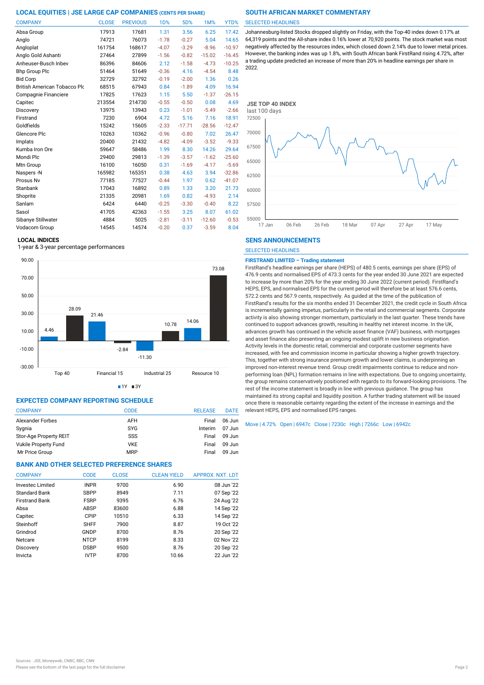| <b>COMPANY</b>                      | <b>CLOSE</b> | <b>PREVIOUS</b> | <b>1D%</b> | 5D%      | 1M%      | YTD%     |
|-------------------------------------|--------------|-----------------|------------|----------|----------|----------|
| Absa Group                          | 17913        | 17681           | 1.31       | 3.56     | 6.25     | 17.42    |
| Anglo                               | 74721        | 76073           | $-1.78$    | $-0.27$  | 5.04     | 14.65    |
| Angloplat                           | 161754       | 168617          | $-4.07$    | $-3.29$  | $-8.96$  | $-10.97$ |
| Anglo Gold Ashanti                  | 27464        | 27899           | $-1.56$    | $-0.82$  | $-15.02$ | $-16.45$ |
| Anheuser-Busch Inbev                | 86396        | 84606           | 2.12       | $-1.58$  | $-4.73$  | $-10.25$ |
| <b>Bhp Group Plc</b>                | 51464        | 51649           | $-0.36$    | 4.16     | $-4.54$  | 8.48     |
| <b>Bid Corp</b>                     | 32729        | 32792           | $-0.19$    | $-2.00$  | 1.36     | 0.26     |
| <b>British American Tobacco Plo</b> | 68515        | 67943           | 0.84       | $-1.89$  | 4.09     | 16.94    |
| Compagnie Financiere                | 17825        | 17623           | 1.15       | 5.50     | $-1.37$  | $-26.15$ |
| Capitec                             | 213554       | 214730          | $-0.55$    | $-0.50$  | 0.08     | 4.69     |
| Discovery                           | 13975        | 13943           | 0.23       | $-1.01$  | $-5.49$  | $-2.66$  |
| Firstrand                           | 7230         | 6904            | 4.72       | 5.16     | 7.16     | 18.91    |
| Goldfields                          | 15242        | 15605           | $-2.33$    | $-17.71$ | $-28.56$ | $-12.47$ |
| Glencore Plc                        | 10263        | 10362           | $-0.96$    | $-0.80$  | 7.02     | 26.47    |
| Implats                             | 20400        | 21432           | $-4.82$    | $-4.09$  | $-3.52$  | $-9.33$  |
| Kumba Iron Ore                      | 59647        | 58486           | 1.99       | 8.30     | 14.26    | 29.64    |
| Mondi Plc                           | 29400        | 29813           | $-1.39$    | $-3.57$  | $-1.62$  | $-25.60$ |
| Mtn Group                           | 16100        | 16050           | 0.31       | $-1.69$  | $-4.17$  | $-5.69$  |
| Naspers -N                          | 165982       | 165351          | 0.38       | 4.63     | 3.94     | $-32.86$ |
| Prosus Nv                           | 77185        | 77527           | $-0.44$    | 1.97     | 0.62     | $-41.07$ |
| Stanbank                            | 17043        | 16892           | 0.89       | 1.33     | 3.20     | 21.73    |
| Shoprite                            | 21335        | 20981           | 1.69       | 0.82     | $-4.93$  | 2.14     |
| Sanlam                              | 6424         | 6440            | $-0.25$    | $-3.30$  | $-0.40$  | 8.22     |
| Sasol                               | 41705        | 42363           | $-1.55$    | 3.25     | 8.07     | 61.02    |
| Sibanye Stillwater                  | 4884         | 5025            | $-2.81$    | $-3.11$  | $-12.60$ | $-0.53$  |
| Vodacom Group                       | 14545        | 14574           | $-0.20$    | 0.37     | $-3.59$  | 8.04     |

### **LOCAL INDICES**

1-year & 3-year percentage performances



 $1Y = 3Y$ 

# **EXPECTED COMPANY REPORTING SCHEDULE**

| <b>COMPANY</b>              | CODE       | <b>RELEASE</b> | <b>DATE</b> |
|-----------------------------|------------|----------------|-------------|
| Alexander Forbes            | <b>AFH</b> | Final          | 06 Jun      |
| Sygnia                      | <b>SYG</b> | Interim        | 07 Jun      |
| Stor-Age Property REIT      | SSS        | Final          | $09$ Jun    |
| <b>Vukile Property Fund</b> | <b>VKE</b> | Final          | $09$ Jun    |
| Mr Price Group              | <b>MRP</b> | Final          | $09$ Jun    |

# **BANK AND OTHER SELECTED PREFERENCE SHARES**

| <b>COMPANY</b>          | <b>CODE</b> | <b>CLOSE</b> | <b>CLEAN YIELD</b> | APPROX. NXT. LDT |
|-------------------------|-------------|--------------|--------------------|------------------|
| <b>Invested Limited</b> | <b>INPR</b> | 9700         | 6.90               | 08 Jun '22       |
| Standard Bank           | <b>SBPP</b> | 8949         | 7.11               | 07 Sep '22       |
| <b>Firstrand Bank</b>   | <b>FSRP</b> | 9395         | 6.76               | 24 Aug '22       |
| Absa                    | <b>ABSP</b> | 83600        | 6.88               | 14 Sep '22       |
| Capitec                 | CPIP        | 10510        | 6.33               | 14 Sep '22       |
| Steinhoff               | <b>SHFF</b> | 7900         | 8.87               | 19 Oct '22       |
| Grindrod                | GNDP        | 8700         | 8.76               | 20 Sep '22       |
| Netcare                 | <b>NTCP</b> | 8199         | 8.33               | 02 Nov '22       |
| Discovery               | <b>DSBP</b> | 9500         | 8.76               | 20 Sep '22       |
| Invicta                 | <b>IVTP</b> | 8700         | 10.66              | 22 Jun '22       |

### SELECTED HEADLINES

Johannesburg-listed Stocks dropped slightly on Friday, with the Top-40 index down 0.17% at 64,319 points and the All-share index 0.16% lower at 70,920 points. The stock market was most negatively affected by the resources index, which closed down 2.14% due to lower metal prices. However, the banking index was up 1.8%, with South African bank FirstRand rising 4.72%, after a trading update predicted an increase of more than 20% in headline earnings per share in 2022.



### **SENS ANNOUNCEMENTS**

SELECTED HEADLINES

### **FIRSTRAND LIMITED – Trading statement**

FirstRand's headline earnings per share (HEPS) of 480.5 cents, earnings per share (EPS) of 476.9 cents and normalised EPS of 473.3 cents for the year ended 30 June 2021 are expected to increase by more than 20% for the year ending 30 June 2022 (current period). FirstRand's HEPS, EPS, and normalised EPS for the current period will therefore be at least 576.6 cents, 572.2 cents and 567.9 cents, respectively. As guided at the time of the publication of FirstRand's results for the six months ended 31 December 2021, the credit cycle in South Africa is incrementally gaining impetus, particularly in the retail and commercial segments. Corporate activity is also showing stronger momentum, particularly in the last quarter. These trends have continued to support advances growth, resulting in healthy net interest income. In the UK, advances growth has continued in the vehicle asset finance (VAF) business, with mortgages and asset finance also presenting an ongoing modest uplift in new business origination. Activity levels in the domestic retail, commercial and corporate customer segments have increased, with fee and commission income in particular showing a higher growth trajectory. This, together with strong insurance premium growth and lower claims, is underpinning an improved non-interest revenue trend. Group credit impairments continue to reduce and nonperforming loan (NPL) formation remains in line with expectations. Due to ongoing uncertainty, the group remains conservatively positioned with regards to its forward-looking provisions. The rest of the income statement is broadly in line with previous guidance. The group has maintained its strong capital and liquidity position. A further trading statement will be issued once there is reasonable certainty regarding the extent of the increase in earnings and the relevant HEPS, EPS and normalised EPS ranges.

### Move | 4.72% Open | 6947c Close | 7230c High | 7266c Low | 6942c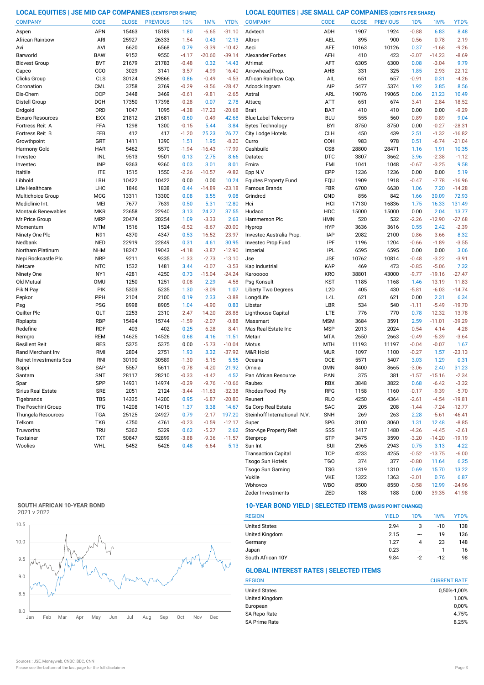**LOCAL EQUITIES | JSE MID CAP COMPANIES (CENTS PER SHARE) LOCAL EQUITIES | JSE SMALL CAP COMPANIES (CENTS PER SHARE)**

| <b>COMPANY</b>                   | <b>CODE</b>              | <b>CLOSE</b>  | <b>PREVIOUS</b> | 1 <sub>D</sub> % | 1M%                | YTD%               | <b>COMPANY</b>                  | <b>CODE</b>              | <b>CLOSE</b> | <b>PREVIOUS</b> | 1D%             | 1M%              | YTD%             |
|----------------------------------|--------------------------|---------------|-----------------|------------------|--------------------|--------------------|---------------------------------|--------------------------|--------------|-----------------|-----------------|------------------|------------------|
| Aspen                            | APN                      | 15463         | 15189           | 1.80             | $-6.65$            | $-31.10$           | Advtech                         | ADH                      | 1907         | 1924            | $-0.88$         | 6.83             | 8.48             |
| African Rainbow                  | ARI                      | 25927         | 26333           | $-1.54$          | 0.43               | 12.13              | Altron                          | AEL                      | 895          | 900             | $-0.56$         | $-0.78$          | $-2.19$          |
| Avi                              | AVI                      | 6620          | 6568            | 0.79             | $-3.39$            | $-10.42$           | Aeci                            | <b>AFE</b>               | 10163        | 10126           | 0.37            | $-1.68$          | $-9.26$          |
| Barworld                         | <b>BAW</b>               | 9152          | 9550            | $-4.17$          | $-20.60$           | $-39.14$           | <b>Alexander Forbes</b>         | AFH                      | 410          | 423             | $-3.07$         | $-14.23$         | $-8.69$          |
| <b>Bidvest Group</b>             | <b>BVT</b>               | 21679         | 21783           | $-0.48$          | 0.32               | 14.43              | Afrimat                         | AFT                      | 6305         | 6300            | 0.08            | $-3.04$          | 9.79             |
| Capco                            | CCO                      | 3029          | 3141            | $-3.57$          | $-4.99$            | $-16.40$           | Arrowhead Prop                  | AHB                      | 331          | 325             | 1.85            | $-2.93$          | $-22.12$         |
| Clicks Group                     | CLS                      | 30124         | 29866           | 0.86             | $-0.49$            | $-4.53$            | African Rainbow Cap.            | AIL                      | 651          | 657             | $-0.91$         | 0.31             | $-4.26$          |
| Coronation                       | <b>CML</b>               | 3758          | 3769            | $-0.29$          | $-8.56$            | $-28.47$           | Adcock Ingram                   | AIP                      | 5477         | 5374            | 1.92            | 3.85             | 8.56             |
| Dis-Chem                         | <b>DCP</b>               | 3448          | 3469            | $-0.61$          | $-9.81$            | $-2.65$            | Astral                          | ARL                      | 19076        | 19065           | 0.06            | 21.23            | 10.49            |
| Distell Group                    | DGH                      | 17350         | 17398           | $-0.28$          | 0.07               | 2.78               | Attacq                          | <b>ATT</b>               | 651          | 674             | $-3.41$         | $-2.84$          | $-18.52$         |
| Drdgold                          | <b>DRD</b>               | 1047          | 1095            | $-4.38$          | $-17.23$           | $-20.68$           | <b>Brait</b>                    | <b>BAT</b>               | 410          | 410             | 0.00            | 0.00             | $-9.29$          |
| Exxaro Resources                 | <b>EXX</b>               | 21812         | 21681           | 0.60             | $-0.49$            | 42.68              | <b>Blue Label Telecoms</b>      | <b>BLU</b>               | 555          | 560             | $-0.89$         | $-0.89$          | 9.04             |
| Fortress Reit A                  | FFA                      | 1298          | 1300            | $-0.15$          | 5.44               | 3.84               | <b>Bytes Technology</b>         | <b>BYI</b>               | 8750         | 8750            | 0.00            | $-0.27$          | $-28.31$         |
| Fortress Reit B                  | <b>FFB</b>               | 412           | 417             | $-1.20$          | 25.23              | 26.77              | City Lodge Hotels               | <b>CLH</b>               | 450          | 439             | 2.51            | $-1.32$          | $-16.82$         |
| Growthpoint                      | GRT                      | 1411          | 1390            | 1.51             | 1.95               | $-8.20$            | Curro                           | COH                      | 983          | 978             | 0.51            | $-6.74$          | $-21.04$         |
| Harmony Gold                     | <b>HAR</b>               | 5462          | 5570            | $-1.94$          | $-16.43$           | $-17.99$           | Cashbuild                       | <b>CSB</b>               | 28800        | 28471           | 1.16            | 1.91             | 10.35            |
| Investec                         | INL                      | 9513          | 9501            | 0.13             | 2.75               | 8.66               | Datatec                         | <b>DTC</b>               | 3807         | 3662            | 3.96            | $-2.38$          | $-1.12$          |
| Investec                         | <b>INP</b>               | 9363          | 9360            | 0.03             | 3.01               | 8.01               | Emira                           | <b>EMI</b>               | 1041         | 1048            | $-0.67$         | $-3.25$          | 9.58             |
| Italtile                         | <b>ITE</b>               | 1515          | 1550            | $-2.26$          | $-10.57$           | $-9.82$            | Epp N.V                         | EPP                      | 1236         | 1236            | 0.00            | 0.00             | 5.19             |
| Libhold                          | LBH                      | 10422         | 10422           | 0.00             | 0.00               | 10.24              | <b>Equites Property Fund</b>    | EQU                      | 1909         | 1918            | $-0.47$         | $-7.78$          | $-16.96$         |
| Life Healthcare                  | <b>LHC</b>               | 1846          | 1838            | 0.44             | $-14.89$           | $-23.18$           | Famous Brands                   | <b>FBR</b>               | 6700         | 6630            | 1.06            | 7.20             | $-14.28$         |
| Multichoice Group                | <b>MCG</b>               | 13311         | 13300           | 0.08             | 3.55               | 9.08               | Grindrod                        | GND                      | 856          | 842             | 1.66            | 30.09            | 72.93            |
| Mediclinic Int.                  | MEI                      | 7677          | 7639            | 0.50             | 5.31               | 12.80              | Hci                             | HCI                      | 17130        | 16836           | 1.75            | 16.33            | 131.49           |
| <b>Montauk Renewables</b>        | <b>MKR</b>               | 23658         | 22940           | 3.13             | 24.27              | 37.55              | Hudaco                          | HDC                      | 15000        | 15000           | 0.00            | 2.04             | 13.77            |
| Mr Price Group                   | <b>MRP</b>               | 20474         | 20254           | 1.09             | $-3.33$            | 2.63               | Hammerson Plc                   | <b>HMN</b>               | 520          | 532             | $-2.26$         | $-12.90$         | $-27.68$         |
| Momentum                         | MTM                      | 1516          | 1524            | $-0.52$          | $-8.67$            | $-20.00$           | Hyprop                          | <b>HYP</b>               | 3636         | 3616            | 0.55            | 2.42             | $-2.39$          |
| Ninety One Plc                   | N91                      | 4370          | 4347            | 0.53             | $-16.52$           | $-23.97$           | Investec Australia Prop.        | <b>IAP</b>               | 2082         | 2100            | $-0.86$         | $-3.66$          | 8.32             |
| Nedbank                          | <b>NED</b>               | 22919         | 22849           | 0.31             | 4.61               | 30.95              | Investec Prop Fund              | IPF                      | 1196         | 1204            | $-0.66$         | $-1.89$          | $-3.55$          |
| Northam Platinum                 | <b>NHM</b>               | 18247         | 19043           | $-4.18$          | $-3.87$            | $-12.90$           | Imperial                        | <b>IPL</b>               | 6595         | 6595            | 0.00            | 0.00             | 3.06             |
| Nepi Rockcastle Plc              | <b>NRP</b>               | 9211          | 9335            | $-1.33$          | $-2.73$            | $-13.10$           | Jse                             | <b>JSE</b>               | 10762        | 10814           | $-0.48$         | $-3.22$          | $-3.91$          |
| Netcare                          | <b>NTC</b>               | 1532          | 1481            | 3.44             | $-0.07$            | $-3.53$            | Kap Industrial                  | KAP                      | 469          | 473             | $-0.85$         | $-5.06$          | 7.32             |
| Ninety One                       | NY1                      | 4281          | 4250            | 0.73             | $-15.04$           | $-24.24$           | Karooooo                        | <b>KRO</b>               | 38801        | 43000           | $-9.77$         | $-19.16$         | $-27.47$         |
| Old Mutual                       | <b>OMU</b>               | 1250          | 1251            | $-0.08$          | 2.29               | $-4.58$            | Psg Konsult                     | <b>KST</b>               | 1185         | 1168            | 1.46            | $-13.19$         | $-11.83$         |
| Pik N Pay                        | PIK                      | 5303          | 5235            | 1.30             | $-8.09$            | 1.07               | <b>Liberty Two Degrees</b>      | L <sub>2</sub> D         | 405          | 430             | $-5.81$         | $-6.03$          | $-14.74$         |
| Pepkor                           | PPH                      | 2104          | 2100            | 0.19             | 2.33               | $-3.88$            | Long4Life                       | L <sub>4</sub> L         | 621          | 621             | 0.00            | 2.31             | 6.34             |
| Psg                              | <b>PSG</b>               | 8998          | 8905            | 1.04             | $-4.90$            | 0.83               | Libstar                         | LBR                      | 534          | 540             | $-1.11$         | $-5.49$          | $-19.70$         |
| Quilter Plc                      | QLT                      | 2253          | 2310            | $-2.47$          | $-14.20$           | $-28.88$           | Lighthouse Capital              | LTE                      | 776          | 770             | 0.78            | $-12.32$         | $-13.78$         |
| Rbplapts                         | <b>RBP</b>               | 15494         | 15744           | $-1.59$          | $-2.07$            | $-0.88$            | Massmart                        | <b>MSM</b>               | 3684         | 3591            | 2.59            | $-11.01$         | $-39.29$         |
| Redefine                         | <b>RDF</b>               | 403           | 402             | 0.25             | $-6.28$            | $-8.41$            | Mas Real Estate Inc             | <b>MSP</b>               | 2013         | 2024            | $-0.54$         | $-4.14$          | $-4.28$          |
| Remgro                           | <b>REM</b>               | 14625         | 14526           | 0.68             | 4.16               | 11.51              | Metair                          | <b>MTA</b>               | 2650         | 2663            | $-0.49$         | $-5.39$          | $-3.64$          |
| Resilient Reit                   | <b>RES</b>               | 5375          | 5375            | 0.00             | $-5.73$            | $-10.04$           | Motus                           | <b>MTH</b>               | 11193        | 11197           | $-0.04$         | $-0.07$          | 1.67             |
| Rand Merchant Inv                | RMI                      | 2804          | 2751            | 1.93             | 3.32               | $-37.92$           | M&R Hold                        | <b>MUR</b>               | 1097         | 1100            | $-0.27$         | 1.57             | $-23.13$         |
| Reinet Investments Sca           | <b>RNI</b>               | 30190         | 30589           | $-1.30$          | $-5.15$            | 5.55               | Oceana                          | <b>OCE</b>               | 5571         | 5407            | 3.03            | 1.29             | 0.31             |
| Sappi                            | <b>SAP</b>               | 5567          | 5611            | $-0.78$          | $-4.20$            | 21.92              | Omnia                           | <b>OMN</b>               | 8400         | 8665            | $-3.06$         | 2.40             | 31.23            |
| Santam                           | <b>SNT</b>               | 28117         | 28210<br>14974  | $-0.33$          | $-4.42$            | 4.52               | Pan African Resource            | <b>PAN</b>               | 375          | 381             | $-1.57$         | $-15.16$         | $-2.34$          |
| Spar                             | SPP                      | 14931         |                 | $-0.29$          | $-9.76$            | $-10.66$           | Raubex                          | <b>RBX</b>               | 3848         | 3822            | 0.68            | $-6.42$          | $-3.32$          |
| Sirius Real Estate               | <b>SRE</b>               | 2051          | 2124            | $-3.44$          | $-11.63$           | $-32.38$           | Rhodes Food Pty                 | RFG                      | 1158         | 1160            | $-0.17$         | $-9.39$          | $-5.70$          |
| Tigebrands<br>The Foschini Group | <b>TBS</b>               | 14335         | 14200           | 0.95             | $-6.87$            | $-20.80$           | Reunert                         | <b>RLO</b>               | 4250         | 4364            | $-2.61$         | $-4.54$          | $-19.81$         |
|                                  | <b>TFG</b>               | 14208         | 14016           | 1.37             | 3.38               | 14.67              | Sa Corp Real Estate             | SAC                      | 205          | 208             | $-1.44$         | $-7.24$          | $-12.77$         |
| Thungela Resources<br>Telkom     | <b>TGA</b>               | 25125         | 24927           | 0.79             | $-2.17$<br>$-0.59$ | 197.20<br>$-12.17$ | Steinhoff International N.V.    | <b>SNH</b><br><b>SPG</b> | 269          | 263             | 2.28            | $-5.61$          | $-46.41$         |
| Truworths                        | <b>TKG</b><br><b>TRU</b> | 4750<br>5362  | 4761<br>5329    | $-0.23$          | $-5.27$            |                    | Super<br>Stor-Age Property Reit | SSS                      | 3100         | 3060<br>1480    | 1.31<br>$-4.26$ | 12.48            | $-8.85$          |
| Textainer                        | <b>TXT</b>               |               | 52899           | 0.62             | $-9.36$            | 2.62               |                                 | STP                      | 1417<br>3475 |                 |                 | $-4.45$          | $-2.61$          |
| Woolies                          | WHL                      | 50847<br>5452 | 5426            | $-3.88$<br>0.48  | $-6.64$            | $-11.57$<br>5.13   | Stenprop<br>Sun Int             | SUI                      | 2965         | 3590<br>2943    | $-3.20$<br>0.75 | $-14.20$<br>3.13 | $-19.19$<br>4.22 |
|                                  |                          |               |                 |                  |                    |                    | <b>Transaction Capital</b>      | <b>TCP</b>               | 4233         | 4255            | $-0.52$         | $-13.75$         | $-6.00$          |
|                                  |                          |               |                 |                  |                    |                    | Tsogo Sun Hotels                | <b>TGO</b>               | 374          | 377             | $-0.80$         | 11.64            | 6.25             |
|                                  |                          |               |                 |                  |                    |                    |                                 |                          |              |                 |                 |                  |                  |

# **SOUTH AFRICAN 10-YEAR BOND**



# **10-YEAR BOND YIELD | SELECTED ITEMS (BASIS POINT CHANGE)**

| <b>REGION</b>        | <b>YIELD</b> | 1D% | 1M%   | YTD% |
|----------------------|--------------|-----|-------|------|
| <b>United States</b> | 2.94         | 3   | $-10$ | 138  |
| United Kingdom       | 2.15         | --- | 19    | 136  |
| Germany              | 1.27         | 4   | 23    | 148  |
| Japan                | 0.23         | --- |       | 16   |
| South African 10Y    | 9.84         | -2  | $-12$ | 98   |

Wbhovco WBO 8500 8550 -0.58 12.99 -24.96 Vukile VKE 1322 1363 -3.01 0.76

Zeder Investments ZED 188 188 0.00 -39.35 -41.98

Tsogo Sun Gaming TSG 1319 1310 0.69 15.70 13.22

# **GLOBAL INTEREST RATES | SELECTED ITEMS**

| <b>REGION</b>        | <b>CURRENT RATE</b> |  |  |  |  |
|----------------------|---------------------|--|--|--|--|
| <b>United States</b> | 0,50%-1,00%         |  |  |  |  |
| United Kingdom       | 1.00%               |  |  |  |  |
| European             | 0,00%               |  |  |  |  |
| SA Repo Rate         | 4.75%               |  |  |  |  |
| <b>SA Prime Rate</b> | 8.25%               |  |  |  |  |

 $6.87$ <br>-24.96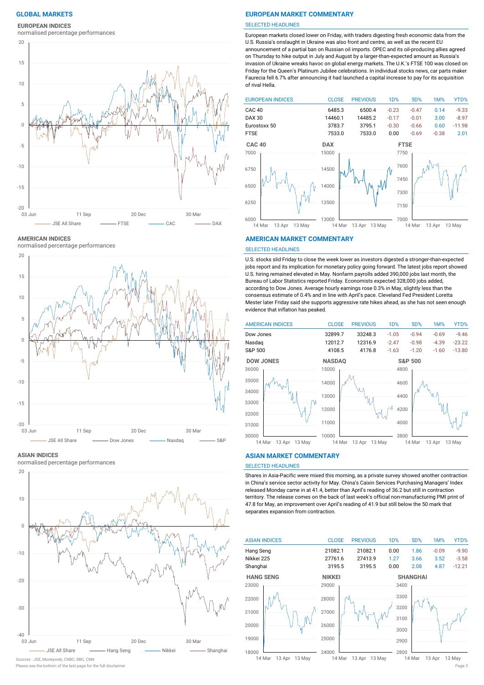# **EUROPEAN INDICES**

normalised percentage performances



**AMERICAN INDICES**

normalised percentage performances



### **ASIAN INDICES**

normalised percentage performances



### **GLOBAL MARKETS EUROPEAN MARKET COMMENTARY**

### SELECTED HEADLINES

European markets closed lower on Friday, with traders digesting fresh economic data from the U.S. Russia's onslaught in Ukraine was also front and centre, as well as the recent EU announcement of a partial ban on Russian oil imports. OPEC and its oil-producing allies agreed on Thursday to hike output in July and August by a larger-than-expected amount as Russia's invasion of Ukraine wreaks havoc on global energy markets. The U.K.'s FTSE 100 was closed on Friday for the Queen's Platinum Jubilee celebrations. In individual stocks news, car parts maker Faurecia fell 6.7% after announcing it had launched a capital increase to pay for its acquisition of rival Hella.



### **AMERICAN MARKET COMMENTARY**

### SELECTED HEADLINES

U.S. stocks slid Friday to close the week lower as investors digested a stronger-than-expected jobs report and its implication for monetary policy going forward. The latest jobs report showed U.S. hiring remained elevated in May. Nonfarm payrolls added 390,000 jobs last month, the Bureau of Labor Statistics reported Friday. Economists expected 328,000 jobs added, according to Dow Jones. Average hourly earnings rose 0.3% in May, slightly less than the consensus estimate of 0.4% and in line with April's pace. Cleveland Fed President Loretta Mester later Friday said she supports aggressive rate hikes ahead, as she has not seen enough evidence that inflation has peaked.



### **ASIAN MARKET COMMENTARY**

### SELECTED HEADLINES

Shares in Asia-Pacific were mixed this morning, as a private survey showed another contraction in China's service sector activity for May. China's Caixin Services Purchasing Managers' Index released Monday came in at 41.4, better than April's reading of 36.2 but still in contraction territory. The release comes on the back of last week's official non-manufacturing PMI print of 47.8 for May, an improvement over April's reading of 41.9 but still below the 50 mark that separates expansion from contraction.